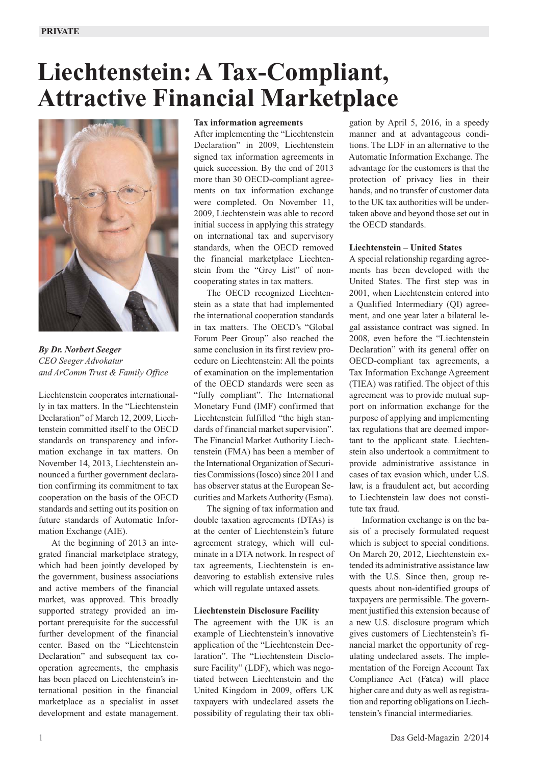# **Liechtenstein: A Tax-Compliant, Attractive Financial Marketplace**



*By Dr. Norbert Seeger CEO Seeger Advokatur and ArComm Trust & Family Office*

Liechtenstein cooperates internationally in tax matters. In the "Liechtenstein Declaration" of March 12, 2009, Liechtenstein committed itself to the OECD standards on transparency and information exchange in tax matters. On November 14, 2013, Liechtenstein announced a further government declaration confirming its commitment to tax cooperation on the basis of the OECD standards and setting out its position on future standards of Automatic Information Exchange (AIE).

At the beginning of 2013 an integrated financial marketplace strategy, which had been jointly developed by the government, business associations and active members of the financial market, was approved. This broadly supported strategy provided an important prerequisite for the successful further development of the financial center. Based on the "Liechtenstein Declaration" and subsequent tax cooperation agreements, the emphasis has been placed on Liechtenstein's international position in the financial marketplace as a specialist in asset development and estate management.

#### **Tax information agreements**

After implementing the "Liechtenstein Declaration" in 2009, Liechtenstein signed tax information agreements in quick succession. By the end of 2013 more than 30 OECD-compliant agreements on tax information exchange were completed. On November 11, 2009, Liechtenstein was able to record initial success in applying this strategy on international tax and supervisory standards, when the OECD removed the financial marketplace Liechtenstein from the "Grey List" of non cooperating states in tax matters.

The OECD recognized Liechtenstein as a state that had implemented the international cooperation standards in tax matters. The OECD's "Global Forum Peer Group" also reached the same conclusion in its first review procedure on Liechtenstein: All the points of examination on the implementation of the OECD standards were seen as "fully compliant". The International Monetary Fund (IMF) confirmed that Liechtenstein fulfilled "the high standards of financial market supervision". The Financial Market Authority Liechtenstein (FMA) has been a member of the International Organization of Securities Commissions (Iosco) since 2011 and has observer status at the European Securities and Markets Authority (Esma).

The signing of tax information and double taxation agreements (DTAs) is at the center of Liechtenstein's future agreement strategy, which will culminate in a DTA network. In respect of tax agreements, Liechtenstein is endeavoring to establish extensive rules which will regulate untaxed assets.

#### **Liechtenstein Disclosure Facility**

The agreement with the UK is an example of Liechtenstein's innovative application of the "Liechtenstein Declaration". The "Liechtenstein Disclosure Facility" (LDF), which was negotiated between Liechtenstein and the United Kingdom in 2009, offers UK taxpayers with undeclared assets the possibility of regulating their tax obli-

gation by April 5, 2016, in a speedy manner and at advantageous conditions. The LDF in an alternative to the Automatic Information Exchange. The advantage for the customers is that the protection of privacy lies in their hands, and no transfer of customer data to the UK tax authorities will be undertaken above and beyond those set out in the OECD standards.

#### **Liechtenstein – United States**

A special relationship regarding agreements has been developed with the United States. The first step was in 2001, when Liechtenstein entered into a Qualified Intermediary (QI) agreement, and one year later a bilateral legal assistance contract was signed. In 2008, even before the "Liechtenstein Declaration" with its general offer on OECD-compliant tax agreements, a Tax Information Exchange Agreement (TIEA) was ratified. The object of this agreement was to provide mutual support on information exchange for the purpose of applying and implementing tax regulations that are deemed important to the applicant state. Liechtenstein also undertook a commitment to provide administrative assistance in cases of tax evasion which, under U.S. law, is a fraudulent act, but according to Liechtenstein law does not constitute tax fraud.

Information exchange is on the basis of a precisely formulated request which is subject to special conditions. On March 20, 2012, Liechtenstein extended its administrative assistance law with the U.S. Since then, group requests about non-identified groups of taxpayers are permissible. The government justified this extension because of a new U.S. disclosure program which gives customers of Liechtenstein's financial market the opportunity of regulating undeclared assets. The implementation of the Foreign Account Tax Compliance Act (Fatca) will place higher care and duty as well as registration and reporting obligations on Liech tenstein's financial intermediaries.